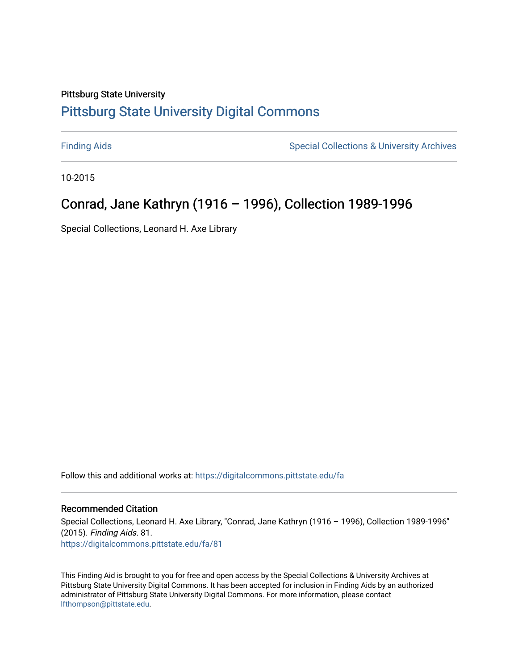## Pittsburg State University [Pittsburg State University Digital Commons](https://digitalcommons.pittstate.edu/)

[Finding Aids](https://digitalcommons.pittstate.edu/fa) **Special Collections & University Archives** Special Collections & University Archives

10-2015

# Conrad, Jane Kathryn (1916 – 1996), Collection 1989-1996

Special Collections, Leonard H. Axe Library

Follow this and additional works at: [https://digitalcommons.pittstate.edu/fa](https://digitalcommons.pittstate.edu/fa?utm_source=digitalcommons.pittstate.edu%2Ffa%2F81&utm_medium=PDF&utm_campaign=PDFCoverPages) 

### Recommended Citation

Special Collections, Leonard H. Axe Library, "Conrad, Jane Kathryn (1916 – 1996), Collection 1989-1996" (2015). Finding Aids. 81. [https://digitalcommons.pittstate.edu/fa/81](https://digitalcommons.pittstate.edu/fa/81?utm_source=digitalcommons.pittstate.edu%2Ffa%2F81&utm_medium=PDF&utm_campaign=PDFCoverPages) 

This Finding Aid is brought to you for free and open access by the Special Collections & University Archives at Pittsburg State University Digital Commons. It has been accepted for inclusion in Finding Aids by an authorized administrator of Pittsburg State University Digital Commons. For more information, please contact [lfthompson@pittstate.edu.](mailto:lfthompson@pittstate.edu)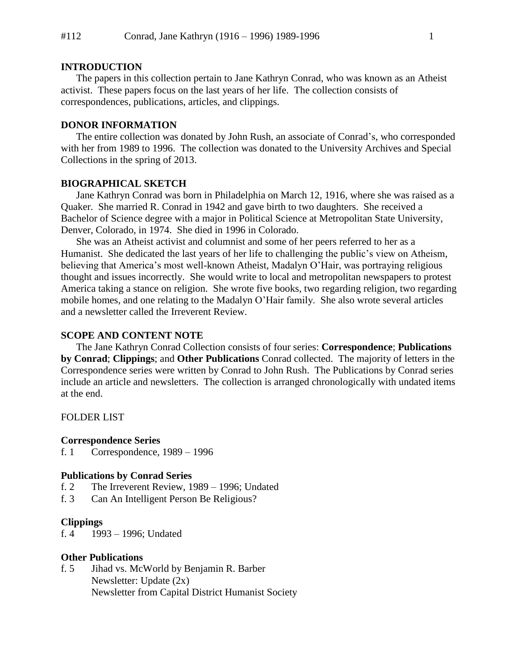#### **INTRODUCTION**

The papers in this collection pertain to Jane Kathryn Conrad, who was known as an Atheist activist. These papers focus on the last years of her life. The collection consists of correspondences, publications, articles, and clippings.

## **DONOR INFORMATION**

The entire collection was donated by John Rush, an associate of Conrad's, who corresponded with her from 1989 to 1996. The collection was donated to the University Archives and Special Collections in the spring of 2013.

## **BIOGRAPHICAL SKETCH**

Jane Kathryn Conrad was born in Philadelphia on March 12, 1916, where she was raised as a Quaker. She married R. Conrad in 1942 and gave birth to two daughters. She received a Bachelor of Science degree with a major in Political Science at Metropolitan State University, Denver, Colorado, in 1974. She died in 1996 in Colorado.

She was an Atheist activist and columnist and some of her peers referred to her as a Humanist. She dedicated the last years of her life to challenging the public's view on Atheism, believing that America's most well-known Atheist, Madalyn O'Hair, was portraying religious thought and issues incorrectly. She would write to local and metropolitan newspapers to protest America taking a stance on religion. She wrote five books, two regarding religion, two regarding mobile homes, and one relating to the Madalyn O'Hair family. She also wrote several articles and a newsletter called the Irreverent Review.

## **SCOPE AND CONTENT NOTE**

The Jane Kathryn Conrad Collection consists of four series: **Correspondence**; **Publications by Conrad**; **Clippings**; and **Other Publications** Conrad collected. The majority of letters in the Correspondence series were written by Conrad to John Rush. The Publications by Conrad series include an article and newsletters. The collection is arranged chronologically with undated items at the end.

FOLDER LIST

#### **Correspondence Series**

f. 1 Correspondence, 1989 – 1996

#### **Publications by Conrad Series**

- f. 2 The Irreverent Review, 1989 1996; Undated
- f. 3 Can An Intelligent Person Be Religious?

#### **Clippings**

f. 4 1993 – 1996; Undated

#### **Other Publications**

f. 5 Jihad vs. McWorld by Benjamin R. Barber Newsletter: Update (2x) Newsletter from Capital District Humanist Society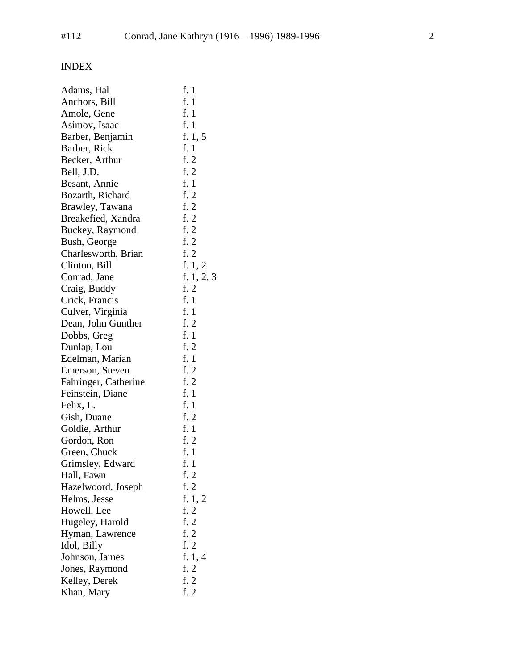# INDEX

| Adams, Hal           | f. 1         |
|----------------------|--------------|
| Anchors, Bill        | f. 1         |
| Amole, Gene          | f. 1         |
| Asimov, Isaac        | f. 1         |
| Barber, Benjamin     | f. $1, 5$    |
| Barber, Rick         | f. 1         |
| Becker, Arthur       | f. $2$       |
| Bell, J.D.           | f. 2         |
| Besant, Annie        | f. 1         |
| Bozarth, Richard     | f. $2$       |
| Brawley, Tawana      | f. 2         |
| Breakefied, Xandra   | f. $2$       |
| Buckey, Raymond      | f. $2$       |
| Bush, George         | f. 2         |
| Charlesworth, Brian  | f. $2$       |
| Clinton, Bill        | f. 1, 2      |
| Conrad, Jane         | f. $1, 2, 3$ |
| Craig, Buddy         | f. 2         |
| Crick, Francis       | f. 1         |
| Culver, Virginia     | f. 1         |
| Dean, John Gunther   | f. 2         |
| Dobbs, Greg          | f. 1         |
| Dunlap, Lou          | f. $2$       |
| Edelman, Marian      | f. 1         |
| Emerson, Steven      | f. 2         |
| Fahringer, Catherine | f. $2$       |
| Feinstein, Diane     | f. 1         |
| Felix, L.            | f. 1         |
| Gish, Duane          | f. $2$       |
| Goldie, Arthur       | f. 1         |
| Gordon, Ron          | f. 2         |
| Green, Chuck         | f. 1         |
| Grimsley, Edward     | f. 1         |
| Hall, Fawn           | f. 2         |
| Hazelwoord, Joseph   | f. 2         |
| Helms, Jesse         | f. $1, 2$    |
| Howell, Lee          | f. $2$       |
| Hugeley, Harold      | f. 2         |
| Hyman, Lawrence      | f. 2         |
| Idol, Billy          | f. 2         |
| Johnson, James       | f. $1, 4$    |
| Jones, Raymond       | f. 2         |
| Kelley, Derek        | f. 2         |
| Khan, Mary           | f. 2         |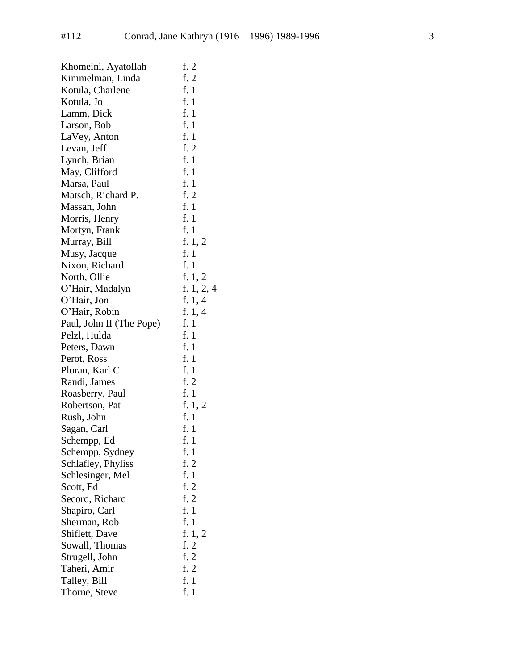| Khomeini, Ayatollah      | f. 2         |
|--------------------------|--------------|
| Kimmelman, Linda         | f. $2$       |
| Kotula, Charlene         | f. $1$       |
| Kotula, Jo               | f. 1         |
| Lamm, Dick               | f. 1         |
| Larson, Bob              | f. 1         |
| LaVey, Anton             | f. 1         |
| Levan, Jeff              | f. 2         |
| Lynch, Brian             | f. 1         |
| May, Clifford            | f. 1         |
| Marsa, Paul              | f. 1         |
| Matsch, Richard P.       | f. 2         |
| Massan, John             | f. 1         |
| Morris, Henry            | f. 1         |
| Mortyn, Frank            | f. 1         |
| Murray, Bill             | f. $1, 2$    |
| Musy, Jacque             | f. 1         |
| Nixon, Richard           | f. 1         |
| North, Ollie             | f. $1, 2$    |
| O'Hair, Madalyn          | f. $1, 2, 4$ |
| O'Hair, Jon              | f. $1, 4$    |
| O'Hair, Robin            | f. $1, 4$    |
| Paul, John II (The Pope) | f. $1$       |
| Pelzl, Hulda             | f. 1         |
| Peters, Dawn             | f. 1         |
| Perot, Ross              | f. 1         |
| Ploran, Karl C.          | f. 1         |
| Randi, James             | f. 2         |
| Roasberry, Paul          | f. 1         |
| Robertson, Pat           | f. $1, 2$    |
| Rush, John               | f. 1         |
| Sagan, Carl              | f. 1         |
| Schempp, Ed              | f. $1$       |
| Schempp, Sydney          | f. 1         |
| Schlafley, Phyliss       | f. 2         |
| Schlesinger, Mel         | f. 1         |
| Scott, Ed                | f. $2$       |
| Secord, Richard          | f. 2         |
| Shapiro, Carl            | f. 1         |
| Sherman, Rob             | f. 1         |
| Shiflett, Dave           | f. 1, 2      |
| Sowall, Thomas           | f. 2         |
| Strugell, John           | f. 2         |
| Taheri, Amir             | f. $2$       |
| Talley, Bill             | f. 1         |
| Thorne, Steve            | f. 1         |
|                          |              |